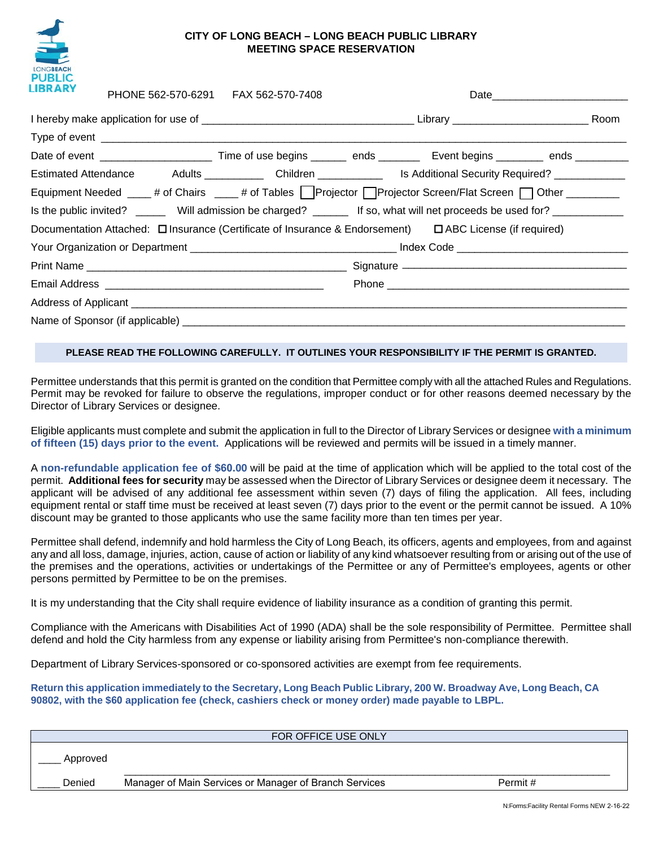

## **CITY OF LONG BEACH – LONG BEACH PUBLIC LIBRARY MEETING SPACE RESERVATION**

| <b>LIBRARY</b>                                                                                                                                              | PHONE 562-570-6291    FAX 562-570-7408 |  |  |  |
|-------------------------------------------------------------------------------------------------------------------------------------------------------------|----------------------------------------|--|--|--|
|                                                                                                                                                             |                                        |  |  |  |
|                                                                                                                                                             |                                        |  |  |  |
| Date of event ___________________________________Time of use begins ___________ ends _________________________ Event begins ___________ ends ______________ |                                        |  |  |  |
| Estimated Attendance Adults ______________ Children ________________ Is Additional Security Required? ___________                                           |                                        |  |  |  |
| Equipment Needed ____# of Chairs ____# of Tables   Projector   Projector Screen/Flat Screen   Other ________                                                |                                        |  |  |  |
|                                                                                                                                                             |                                        |  |  |  |
|                                                                                                                                                             |                                        |  |  |  |
|                                                                                                                                                             |                                        |  |  |  |
|                                                                                                                                                             |                                        |  |  |  |
|                                                                                                                                                             |                                        |  |  |  |
|                                                                                                                                                             |                                        |  |  |  |
|                                                                                                                                                             |                                        |  |  |  |

## **PLEASE READ THE FOLLOWING CAREFULLY. IT OUTLINES YOUR RESPONSIBILITY IF THE PERMIT IS GRANTED.**

Permittee understands that this permit is granted on the condition that Permittee comply with all the attached Rules and Regulations. Permit may be revoked for failure to observe the regulations, improper conduct or for other reasons deemed necessary by the Director of Library Services or designee.

Eligible applicants must complete and submit the application in full to the Director of Library Services or designee **with a minimum of fifteen (15) days prior to the event.** Applications will be reviewed and permits will be issued in a timely manner.

A **non-refundable application fee of \$60.00** will be paid at the time of application which will be applied to the total cost of the permit. **Additional fees for security** may be assessed when the Director of Library Services or designee deem it necessary. The applicant will be advised of any additional fee assessment within seven (7) days of filing the application. All fees, including equipment rental or staff time must be received at least seven (7) days prior to the event or the permit cannot be issued. A 10% discount may be granted to those applicants who use the same facility more than ten times per year.

Permittee shall defend, indemnify and hold harmless the City of Long Beach, its officers, agents and employees, from and against any and all loss, damage, injuries, action, cause of action or liability of any kind whatsoever resulting from or arising out of the use of the premises and the operations, activities or undertakings of the Permittee or any of Permittee's employees, agents or other persons permitted by Permittee to be on the premises.

It is my understanding that the City shall require evidence of liability insurance as a condition of granting this permit.

Compliance with the Americans with Disabilities Act of 1990 (ADA) shall be the sole responsibility of Permittee. Permittee shall defend and hold the City harmless from any expense or liability arising from Permittee's non-compliance therewith.

Department of Library Services-sponsored or co-sponsored activities are exempt from fee requirements.

**Return this application immediately to the Secretary, Long Beach Public Library, 200 W. Broadway Ave, Long Beach, CA 90802, with the \$60 application fee (check, cashiers check or money order) made payable to LBPL.** 

|          | FOR OFFICE USE ONLY                                    |         |  |
|----------|--------------------------------------------------------|---------|--|
| Approved |                                                        |         |  |
| Denied   | Manager of Main Services or Manager of Branch Services | Permit# |  |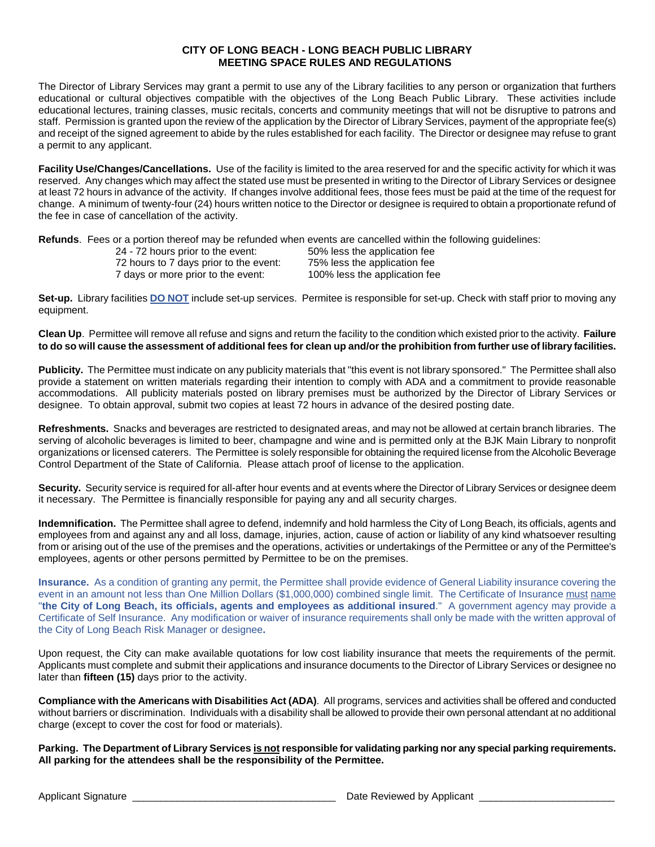### **CITY OF LONG BEACH - LONG BEACH PUBLIC LIBRARY MEETING SPACE RULES AND REGULATIONS**

The Director of Library Services may grant a permit to use any of the Library facilities to any person or organization that furthers educational or cultural objectives compatible with the objectives of the Long Beach Public Library. These activities include educational lectures, training classes, music recitals, concerts and community meetings that will not be disruptive to patrons and staff. Permission is granted upon the review of the application by the Director of Library Services, payment of the appropriate fee(s) and receipt of the signed agreement to abide by the rules established for each facility. The Director or designee may refuse to grant a permit to any applicant.

**Facility Use/Changes/Cancellations.** Use of the facility is limited to the area reserved for and the specific activity for which it was reserved. Any changes which may affect the stated use must be presented in writing to the Director of Library Services or designee at least 72 hours in advance of the activity. If changes involve additional fees, those fees must be paid at the time of the request for change. A minimum of twenty-four (24) hours written notice to the Director or designee is required to obtain a proportionate refund of the fee in case of cancellation of the activity.

**Refunds**. Fees or a portion thereof may be refunded when events are cancelled within the following guidelines:

| 24 - 72 hours prior to the event:      |  |  |
|----------------------------------------|--|--|
| 72 hours to 7 days prior to the event: |  |  |
| 7 days or more prior to the event:     |  |  |

50% less the application fee 75% less the application fee 100% less the application fee

**Set-up.** Library facilities **DO NOT** include set-up services. Permitee is responsible for set-up. Check with staff prior to moving any equipment.

**Clean Up**. Permittee will remove all refuse and signs and return the facility to the condition which existed prior to the activity. **Failure to do so will cause the assessment of additional fees for clean up and/or the prohibition from further use of library facilities.**

**Publicity.** The Permittee must indicate on any publicity materials that "this event is not library sponsored." The Permittee shall also provide a statement on written materials regarding their intention to comply with ADA and a commitment to provide reasonable accommodations. All publicity materials posted on library premises must be authorized by the Director of Library Services or designee. To obtain approval, submit two copies at least 72 hours in advance of the desired posting date.

**Refreshments.** Snacks and beverages are restricted to designated areas, and may not be allowed at certain branch libraries. The serving of alcoholic beverages is limited to beer, champagne and wine and is permitted only at the BJK Main Library to nonprofit organizations or licensed caterers. The Permittee is solely responsible for obtaining the required license from the Alcoholic Beverage Control Department of the State of California. Please attach proof of license to the application.

**Security.** Security service is required for all-after hour events and at events where the Director of Library Services or designee deem it necessary. The Permittee is financially responsible for paying any and all security charges.

**Indemnification.** The Permittee shall agree to defend, indemnify and hold harmless the City of Long Beach, its officials, agents and employees from and against any and all loss, damage, injuries, action, cause of action or liability of any kind whatsoever resulting from or arising out of the use of the premises and the operations, activities or undertakings of the Permittee or any of the Permittee's employees, agents or other persons permitted by Permittee to be on the premises.

**Insurance.** As a condition of granting any permit, the Permittee shall provide evidence of General Liability insurance covering the event in an amount not less than One Million Dollars (\$1,000,000) combined single limit. The Certificate of Insurance must name "**the City of Long Beach, its officials, agents and employees as additional insured**." A government agency may provide a Certificate of Self Insurance. Any modification or waiver of insurance requirements shall only be made with the written approval of the City of Long Beach Risk Manager or designee**.** 

Upon request, the City can make available quotations for low cost liability insurance that meets the requirements of the permit. Applicants must complete and submit their applications and insurance documents to the Director of Library Services or designee no later than **fifteen (15)** days prior to the activity.

**Compliance with the Americans with Disabilities Act (ADA)**. All programs, services and activities shall be offered and conducted without barriers or discrimination. Individuals with a disability shall be allowed to provide their own personal attendant at no additional charge (except to cover the cost for food or materials).

**Parking. The Department of Library Services is not responsible for validating parking nor any special parking requirements. All parking for the attendees shall be the responsibility of the Permittee.**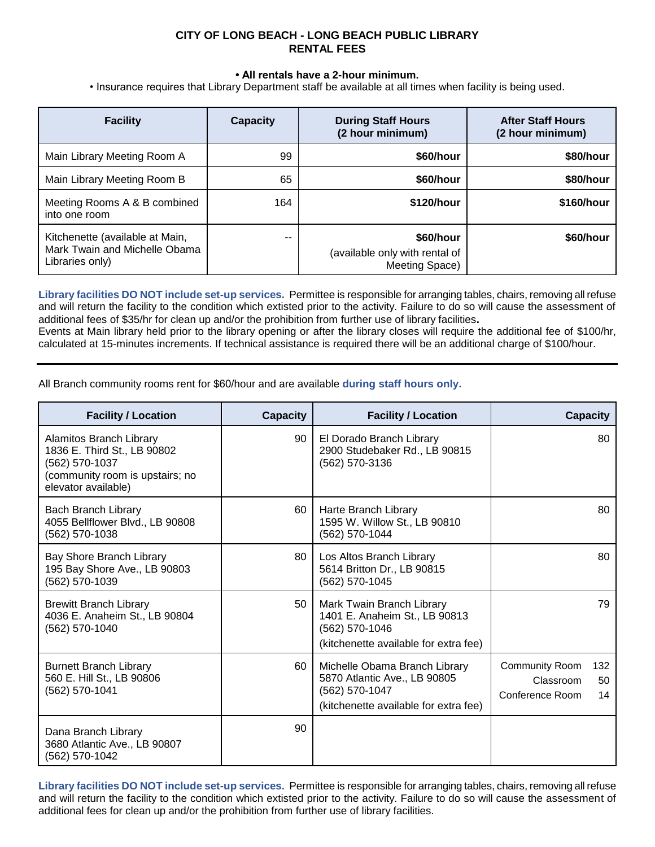# **CITY OF LONG BEACH - LONG BEACH PUBLIC LIBRARY RENTAL FEES**

#### **• All rentals have a 2-hour minimum.**

• Insurance requires that Library Department staff be available at all times when facility is being used.

| <b>Facility</b>                                                                     | <b>Capacity</b> | <b>During Staff Hours</b><br>(2 hour minimum)                 | <b>After Staff Hours</b><br>(2 hour minimum) |
|-------------------------------------------------------------------------------------|-----------------|---------------------------------------------------------------|----------------------------------------------|
| Main Library Meeting Room A                                                         | 99              | \$60/hour                                                     | \$80/hour                                    |
| Main Library Meeting Room B                                                         | 65              | \$60/hour                                                     | \$80/hour                                    |
| Meeting Rooms A & B combined<br>into one room                                       | 164             | \$120/hour                                                    | \$160/hour                                   |
| Kitchenette (available at Main,<br>Mark Twain and Michelle Obama<br>Libraries only) | $- -$           | \$60/hour<br>(available only with rental of<br>Meeting Space) | \$60/hour                                    |

**Library facilities DO NOT include set-up services.** Permittee is responsible for arranging tables, chairs, removing all refuse and will return the facility to the condition which extisted prior to the activity. Failure to do so will cause the assessment of additional fees of \$35/hr for clean up and/or the prohibition from further use of library facilities**.**

Events at Main library held prior to the library opening or after the library closes will require the additional fee of \$100/hr, calculated at 15-minutes increments. If technical assistance is required there will be an additional charge of \$100/hour.

All Branch community rooms rent for \$60/hour and are available **during staff hours only.**

| <b>Facility / Location</b>                                                                                                         | <b>Capacity</b> | <b>Facility / Location</b>                                                                                               | <b>Capacity</b>                                                   |
|------------------------------------------------------------------------------------------------------------------------------------|-----------------|--------------------------------------------------------------------------------------------------------------------------|-------------------------------------------------------------------|
| Alamitos Branch Library<br>1836 E. Third St., LB 90802<br>(562) 570-1037<br>(community room is upstairs; no<br>elevator available) | 90              | El Dorado Branch Library<br>2900 Studebaker Rd., LB 90815<br>(562) 570-3136                                              | 80                                                                |
| Bach Branch Library<br>4055 Bellflower Blvd., LB 90808<br>(562) 570-1038                                                           | 60              | Harte Branch Library<br>1595 W. Willow St., LB 90810<br>(562) 570-1044                                                   | 80                                                                |
| Bay Shore Branch Library<br>195 Bay Shore Ave., LB 90803<br>(562) 570-1039                                                         | 80              | Los Altos Branch Library<br>5614 Britton Dr., LB 90815<br>(562) 570-1045                                                 | 80                                                                |
| <b>Brewitt Branch Library</b><br>4036 E. Anaheim St., LB 90804<br>(562) 570-1040                                                   | 50              | Mark Twain Branch Library<br>1401 E. Anaheim St., LB 90813<br>(562) 570-1046<br>(kitchenette available for extra fee)    | 79                                                                |
| <b>Burnett Branch Library</b><br>560 E. Hill St., LB 90806<br>(562) 570-1041                                                       | 60              | Michelle Obama Branch Library<br>5870 Atlantic Ave., LB 90805<br>(562) 570-1047<br>(kitchenette available for extra fee) | Community Room<br>132<br>Classroom<br>50<br>Conference Room<br>14 |
| Dana Branch Library<br>3680 Atlantic Ave., LB 90807<br>(562) 570-1042                                                              | 90              |                                                                                                                          |                                                                   |

**Library facilities DO NOT include set-up services.** Permittee is responsible for arranging tables, chairs, removing all refuse and will return the facility to the condition which extisted prior to the activity. Failure to do so will cause the assessment of additional fees for clean up and/or the prohibition from further use of library facilities.